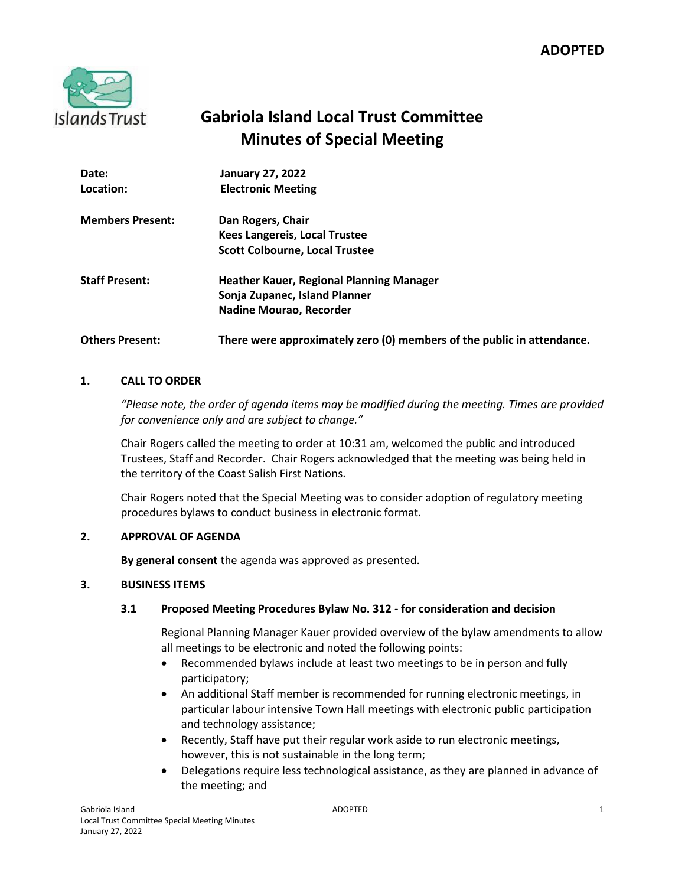

# **Gabriola Island Local Trust Committee Minutes of Special Meeting**

| Date:                   | <b>January 27, 2022</b>                                                |
|-------------------------|------------------------------------------------------------------------|
| Location:               | <b>Electronic Meeting</b>                                              |
| <b>Members Present:</b> | Dan Rogers, Chair                                                      |
|                         | <b>Kees Langereis, Local Trustee</b>                                   |
|                         | <b>Scott Colbourne, Local Trustee</b>                                  |
| <b>Staff Present:</b>   | Heather Kauer, Regional Planning Manager                               |
|                         | Sonja Zupanec, Island Planner                                          |
|                         | Nadine Mourao, Recorder                                                |
| <b>Others Present:</b>  | There were approximately zero (0) members of the public in attendance. |

### **1. CALL TO ORDER**

*"Please note, the order of agenda items may be modified during the meeting. Times are provided for convenience only and are subject to change."*

Chair Rogers called the meeting to order at 10:31 am, welcomed the public and introduced Trustees, Staff and Recorder. Chair Rogers acknowledged that the meeting was being held in the territory of the Coast Salish First Nations.

Chair Rogers noted that the Special Meeting was to consider adoption of regulatory meeting procedures bylaws to conduct business in electronic format.

### **2. APPROVAL OF AGENDA**

**By general consent** the agenda was approved as presented.

### **3. BUSINESS ITEMS**

### **3.1 Proposed Meeting Procedures Bylaw No. 312 - for consideration and decision**

Regional Planning Manager Kauer provided overview of the bylaw amendments to allow all meetings to be electronic and noted the following points:

- Recommended bylaws include at least two meetings to be in person and fully participatory;
- An additional Staff member is recommended for running electronic meetings, in particular labour intensive Town Hall meetings with electronic public participation and technology assistance;
- Recently, Staff have put their regular work aside to run electronic meetings, however, this is not sustainable in the long term;
- Delegations require less technological assistance, as they are planned in advance of the meeting; and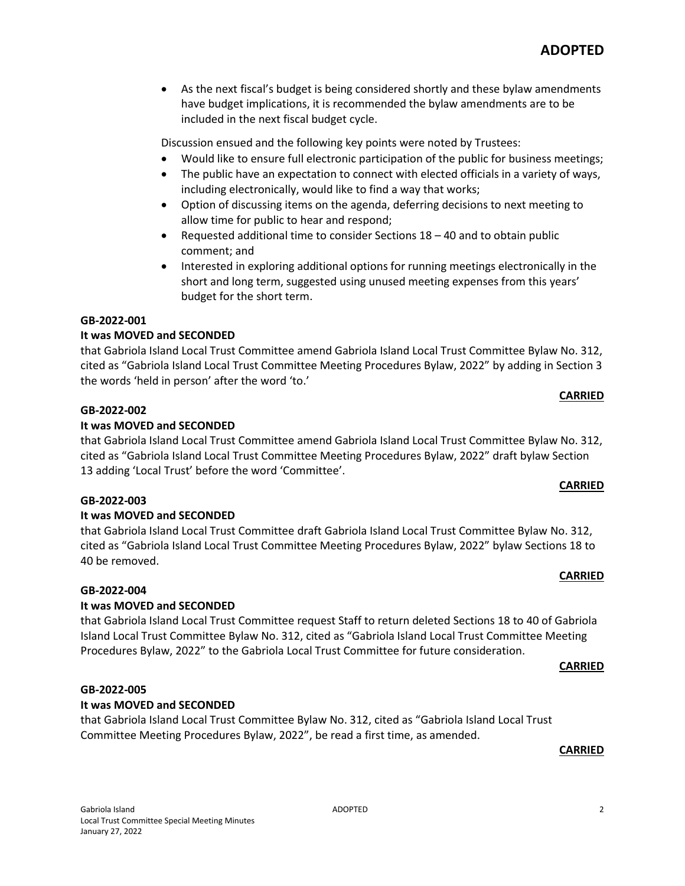As the next fiscal's budget is being considered shortly and these bylaw amendments have budget implications, it is recommended the bylaw amendments are to be included in the next fiscal budget cycle.

Discussion ensued and the following key points were noted by Trustees:

- Would like to ensure full electronic participation of the public for business meetings;
- The public have an expectation to connect with elected officials in a variety of ways, including electronically, would like to find a way that works;
- Option of discussing items on the agenda, deferring decisions to next meeting to allow time for public to hear and respond;
- Requested additional time to consider Sections 18 40 and to obtain public comment; and
- Interested in exploring additional options for running meetings electronically in the short and long term, suggested using unused meeting expenses from this years' budget for the short term.

### **GB-2022-001**

### **It was MOVED and SECONDED**

that Gabriola Island Local Trust Committee amend Gabriola Island Local Trust Committee Bylaw No. 312, cited as "Gabriola Island Local Trust Committee Meeting Procedures Bylaw, 2022" by adding in Section 3 the words 'held in person' after the word 'to.'

### **GB-2022-002**

### **It was MOVED and SECONDED**

that Gabriola Island Local Trust Committee amend Gabriola Island Local Trust Committee Bylaw No. 312, cited as "Gabriola Island Local Trust Committee Meeting Procedures Bylaw, 2022" draft bylaw Section 13 adding 'Local Trust' before the word 'Committee'.

### **GB-2022-003**

### **It was MOVED and SECONDED**

that Gabriola Island Local Trust Committee draft Gabriola Island Local Trust Committee Bylaw No. 312, cited as "Gabriola Island Local Trust Committee Meeting Procedures Bylaw, 2022" bylaw Sections 18 to 40 be removed.

### **GB-2022-004**

### **It was MOVED and SECONDED**

that Gabriola Island Local Trust Committee request Staff to return deleted Sections 18 to 40 of Gabriola Island Local Trust Committee Bylaw No. 312, cited as "Gabriola Island Local Trust Committee Meeting Procedures Bylaw, 2022" to the Gabriola Local Trust Committee for future consideration.

### **CARRIED**

### **GB-2022-005**

### **It was MOVED and SECONDED**

that Gabriola Island Local Trust Committee Bylaw No. 312, cited as "Gabriola Island Local Trust Committee Meeting Procedures Bylaw, 2022", be read a first time, as amended.

### **CARRIED**

**CARRIED**

**CARRIED**

## **CARRIED**